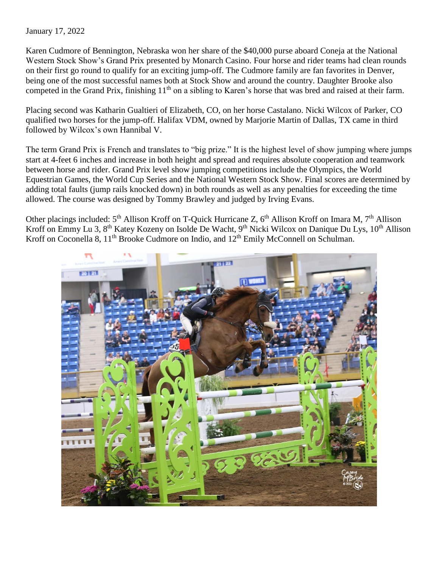## January 17, 2022

Karen Cudmore of Bennington, Nebraska won her share of the \$40,000 purse aboard Coneja at the National Western Stock Show's Grand Prix presented by Monarch Casino. Four horse and rider teams had clean rounds on their first go round to qualify for an exciting jump-off. The Cudmore family are fan favorites in Denver, being one of the most successful names both at Stock Show and around the country. Daughter Brooke also competed in the Grand Prix, finishing 11<sup>th</sup> on a sibling to Karen's horse that was bred and raised at their farm.

Placing second was Katharin Gualtieri of Elizabeth, CO, on her horse Castalano. Nicki Wilcox of Parker, CO qualified two horses for the jump-off. Halifax VDM, owned by Marjorie Martin of Dallas, TX came in third followed by Wilcox's own Hannibal V.

The term Grand Prix is French and translates to "big prize." It is the highest level of show jumping where jumps start at 4-feet 6 inches and increase in both height and spread and requires absolute cooperation and teamwork between horse and rider. Grand Prix level show jumping competitions include the Olympics, the World Equestrian Games, the World Cup Series and the National Western Stock Show. Final scores are determined by adding total faults (jump rails knocked down) in both rounds as well as any penalties for exceeding the time allowed. The course was designed by Tommy Brawley and judged by Irving Evans.

Other placings included: 5<sup>th</sup> Allison Kroff on T-Quick Hurricane Z, 6<sup>th</sup> Allison Kroff on Imara M, 7<sup>th</sup> Allison Kroff on Emmy Lu 3, 8<sup>th</sup> Katey Kozeny on Isolde De Wacht, 9<sup>th</sup> Nicki Wilcox on Danique Du Lys, 10<sup>th</sup> Allison Kroff on Coconella 8, 11<sup>th</sup> Brooke Cudmore on Indio, and 12<sup>th</sup> Emily McConnell on Schulman.